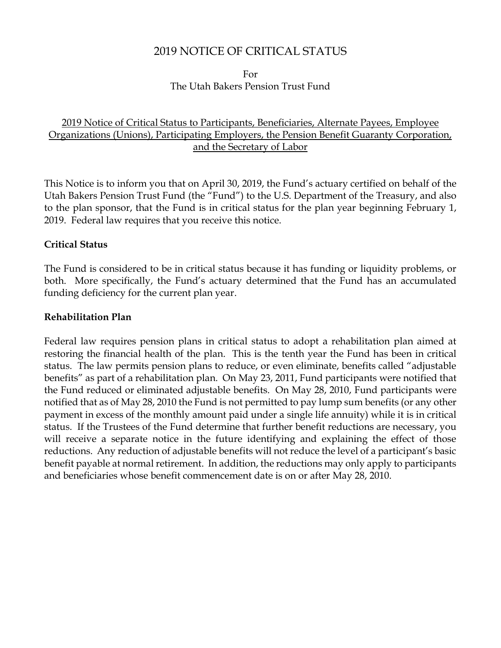# 2019 NOTICE OF CRITICAL STATUS

For The Utah Bakers Pension Trust Fund

# 2019 Notice of Critical Status to Participants, Beneficiaries, Alternate Payees, Employee Organizations (Unions), Participating Employers, the Pension Benefit Guaranty Corporation, and the Secretary of Labor

This Notice is to inform you that on April 30, 2019, the Fund's actuary certified on behalf of the Utah Bakers Pension Trust Fund (the "Fund") to the U.S. Department of the Treasury, and also to the plan sponsor, that the Fund is in critical status for the plan year beginning February 1, 2019. Federal law requires that you receive this notice.

#### **Critical Status**

The Fund is considered to be in critical status because it has funding or liquidity problems, or both. More specifically, the Fund's actuary determined that the Fund has an accumulated funding deficiency for the current plan year.

#### **Rehabilitation Plan**

Federal law requires pension plans in critical status to adopt a rehabilitation plan aimed at restoring the financial health of the plan. This is the tenth year the Fund has been in critical status. The law permits pension plans to reduce, or even eliminate, benefits called "adjustable benefits" as part of a rehabilitation plan. On May 23, 2011, Fund participants were notified that the Fund reduced or eliminated adjustable benefits. On May 28, 2010, Fund participants were notified that as of May 28, 2010 the Fund is not permitted to pay lump sum benefits (or any other payment in excess of the monthly amount paid under a single life annuity) while it is in critical status. If the Trustees of the Fund determine that further benefit reductions are necessary, you will receive a separate notice in the future identifying and explaining the effect of those reductions. Any reduction of adjustable benefits will not reduce the level of a participant's basic benefit payable at normal retirement. In addition, the reductions may only apply to participants and beneficiaries whose benefit commencement date is on or after May 28, 2010.